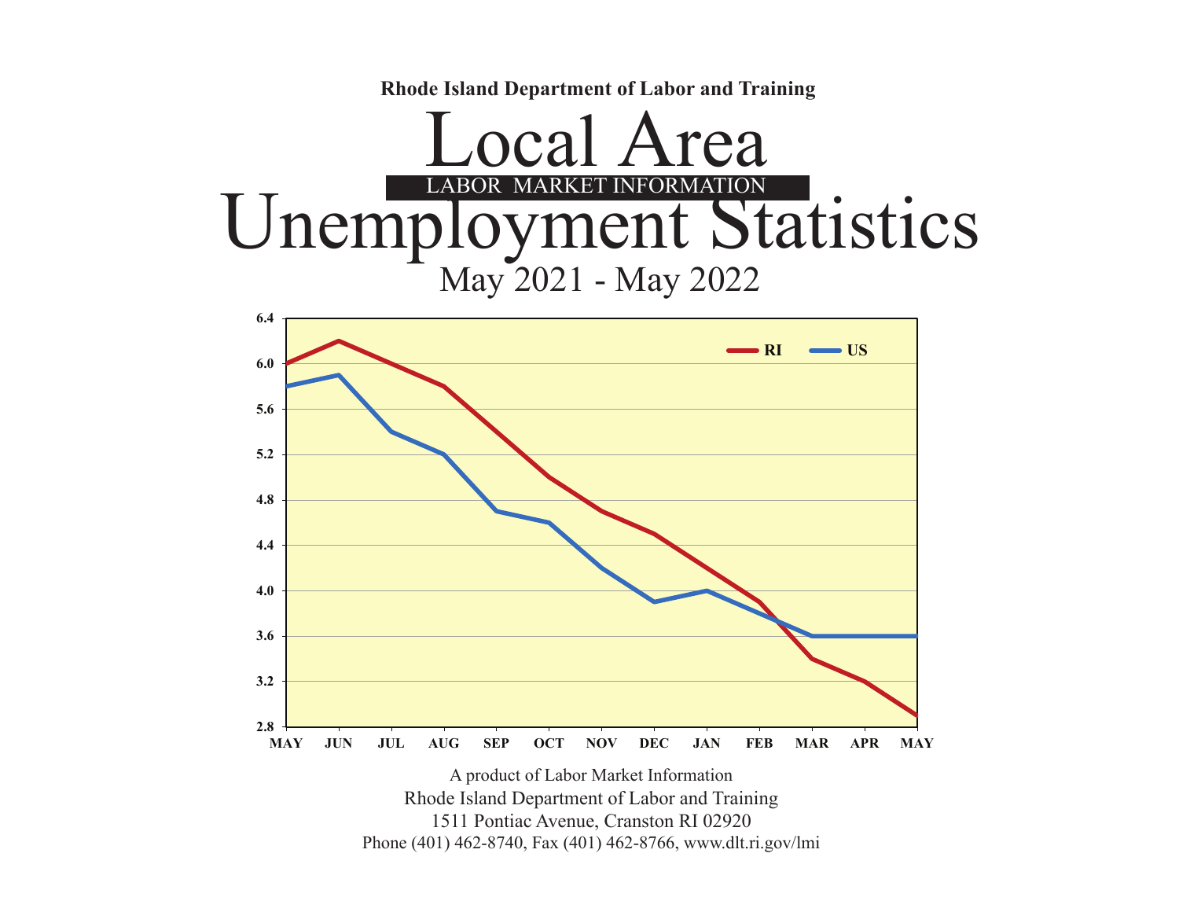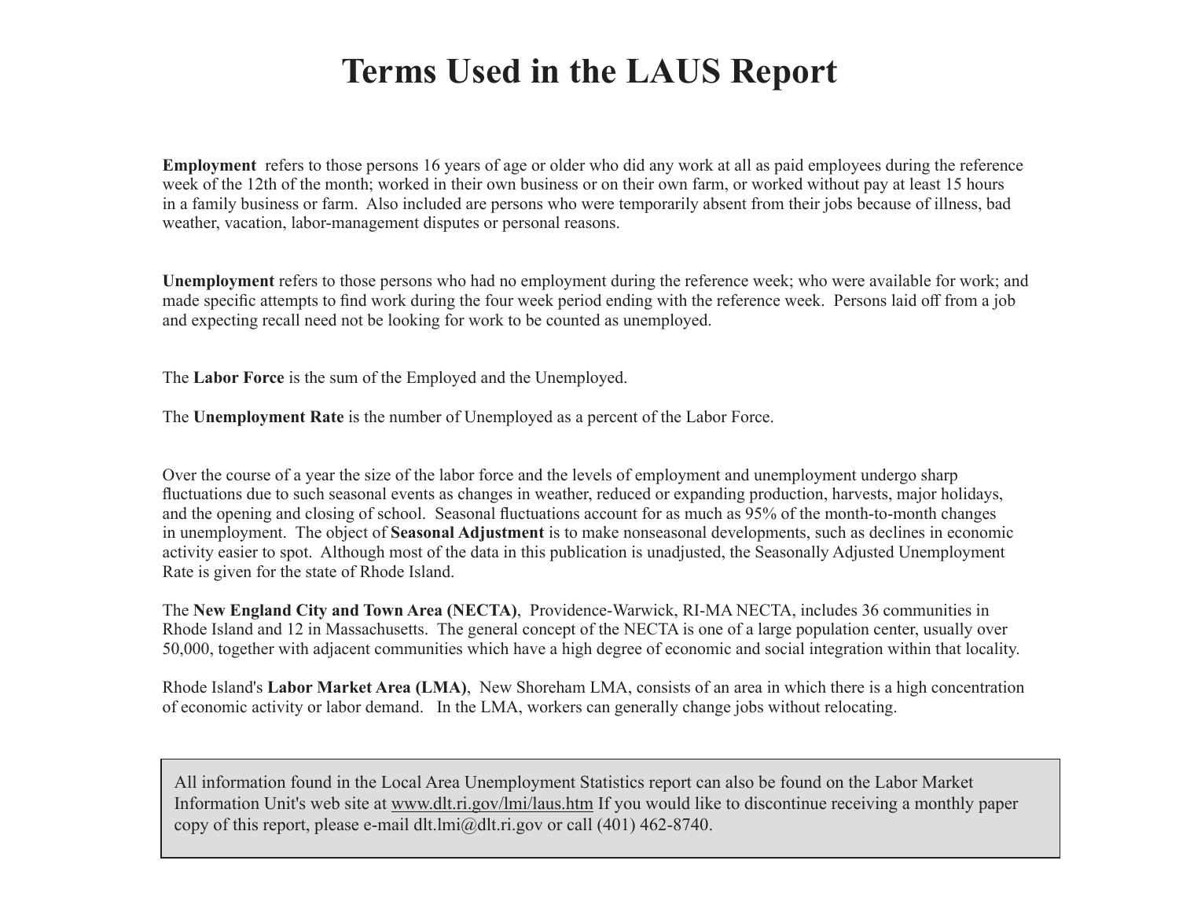# **Terms Used in the LAUS Report**

**Employment** refers to those persons 16 years of age or older who did any work at all as paid employees during the reference week of the 12th of the month; worked in their own business or on their own farm, or worked without pay at least 15 hours in a family business or farm. Also included are persons who were temporarily absent from their jobs because of illness, bad weather, vacation, labor-management disputes or personal reasons.

**Unemployment** refers to those persons who had no employment during the reference week; who were available for work; and made specific attempts to find work during the four week period ending with the reference week. Persons laid off from a job and expecting recall need not be looking for work to be counted as unemployed.

The **Labor Force** is the sum of the Employed and the Unemployed.

The **Unemployment Rate** is the number of Unemployed as a percent of the Labor Force.

Over the course of a year the size of the labor force and the levels of employment and unemployment undergo sharp fluctuations due to such seasonal events as changes in weather, reduced or expanding production, harvests, major holidays, and the opening and closing of school. Seasonal fluctuations account for as much as 95% of the month-to-month changes in unemployment. The object of **Seasonal Adjustment** is to make nonseasonal developments, such as declines in economic activity easier to spot. Although most of the data in this publication is unadjusted, the Seasonally Adjusted Unemployment Rate is given for the state of Rhode Island.

The **New England City and Town Area (NECTA)**, Providence-Warwick, RI-MA NECTA, includes 36 communities in Rhode Island and 12 in Massachusetts. The general concept of the NECTA is one of a large population center, usually over 50,000, together with adjacent communities which have a high degree of economic and social integration within that locality.

Rhode Island's **Labor Market Area (LMA)**, New Shoreham LMA, consists of an area in which there is a high concentration of economic activity or labor demand. In the LMA, workers can generally change jobs without relocating.

All information found in the Local Area Unemployment Statistics report can also be found on the Labor Market Information Unit's web site at www.dlt.ri.gov/lmi/laus.htm If you would like to discontinue receiving a monthly paper copy of this report, please e-mail dlt.lmi@dlt.ri.gov or call (401) 462-8740.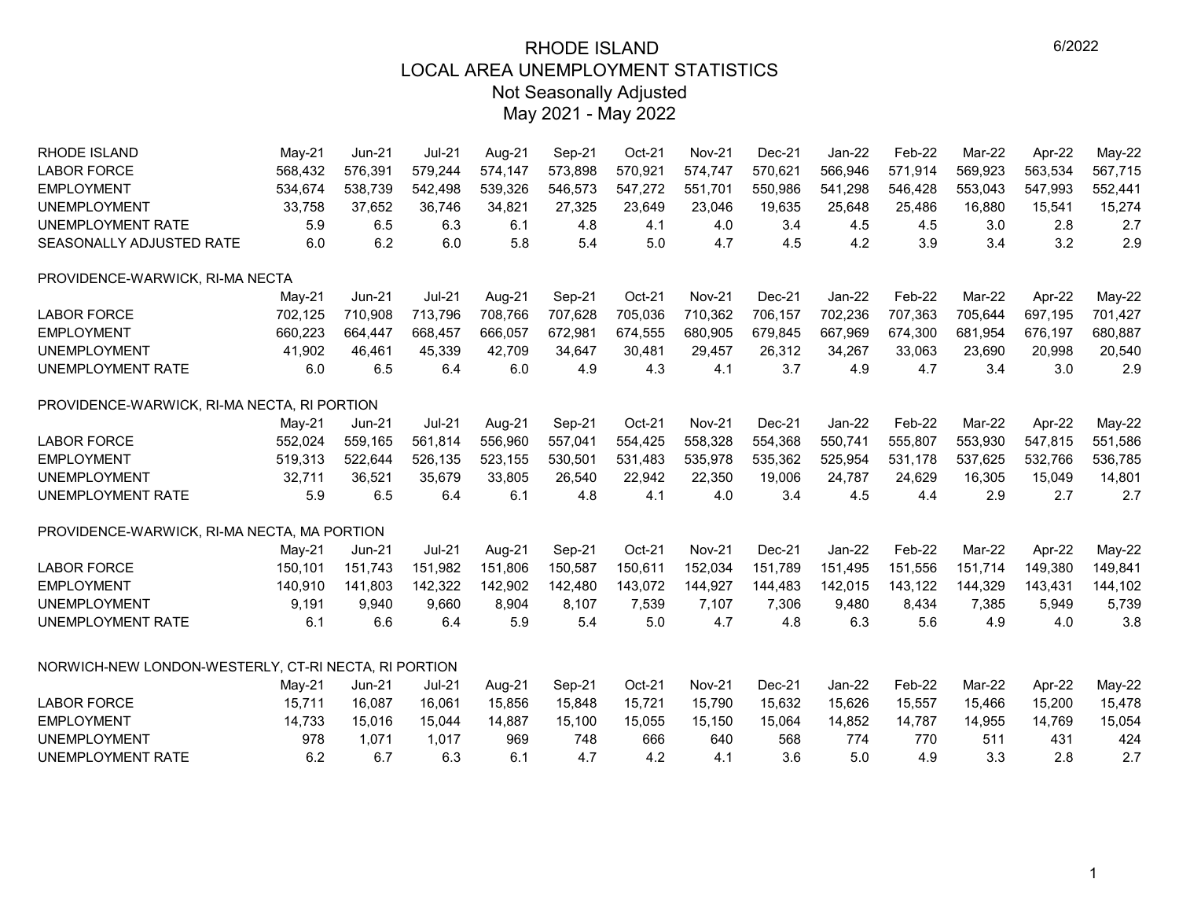| RHODE ISLAND                                         | $May-21$ | <b>Jun-21</b> | <b>Jul-21</b> | Aug-21  | Sep-21  | Oct-21  | <b>Nov-21</b> | $Dec-21$ | Jan-22   | Feb-22  | Mar-22        | Apr-22  | May-22   |
|------------------------------------------------------|----------|---------------|---------------|---------|---------|---------|---------------|----------|----------|---------|---------------|---------|----------|
| <b>LABOR FORCE</b>                                   | 568,432  | 576,391       | 579,244       | 574,147 | 573,898 | 570,921 | 574,747       | 570,621  | 566,946  | 571,914 | 569,923       | 563,534 | 567,715  |
| <b>EMPLOYMENT</b>                                    | 534,674  | 538,739       | 542,498       | 539,326 | 546,573 | 547,272 | 551,701       | 550,986  | 541,298  | 546,428 | 553,043       | 547,993 | 552,441  |
| <b>UNEMPLOYMENT</b>                                  | 33,758   | 37,652        | 36,746        | 34,821  | 27,325  | 23,649  | 23,046        | 19,635   | 25,648   | 25,486  | 16,880        | 15,541  | 15,274   |
| <b>UNEMPLOYMENT RATE</b>                             | 5.9      | 6.5           | 6.3           | 6.1     | 4.8     | 4.1     | 4.0           | 3.4      | 4.5      | 4.5     | 3.0           | 2.8     | 2.7      |
| SEASONALLY ADJUSTED RATE                             | 6.0      | 6.2           | 6.0           | 5.8     | 5.4     | 5.0     | 4.7           | 4.5      | 4.2      | 3.9     | 3.4           | 3.2     | 2.9      |
| PROVIDENCE-WARWICK, RI-MA NECTA                      |          |               |               |         |         |         |               |          |          |         |               |         |          |
|                                                      | $May-21$ | Jun-21        | <b>Jul-21</b> | Aug-21  | Sep-21  | Oct-21  | <b>Nov-21</b> | Dec-21   | $Jan-22$ | Feb-22  | Mar-22        | Apr-22  | $May-22$ |
| <b>LABOR FORCE</b>                                   | 702,125  | 710,908       | 713,796       | 708,766 | 707,628 | 705,036 | 710,362       | 706.157  | 702,236  | 707,363 | 705.644       | 697,195 | 701,427  |
| <b>EMPLOYMENT</b>                                    | 660,223  | 664,447       | 668,457       | 666.057 | 672,981 | 674,555 | 680,905       | 679.845  | 667,969  | 674,300 | 681.954       | 676,197 | 680,887  |
| <b>UNEMPLOYMENT</b>                                  | 41,902   | 46,461        | 45,339        | 42,709  | 34,647  | 30,481  | 29,457        | 26,312   | 34,267   | 33,063  | 23,690        | 20,998  | 20,540   |
| UNEMPLOYMENT RATE                                    | 6.0      | 6.5           | 6.4           | 6.0     | 4.9     | 4.3     | 4.1           | 3.7      | 4.9      | 4.7     | 3.4           | 3.0     | 2.9      |
| PROVIDENCE-WARWICK, RI-MA NECTA, RI PORTION          |          |               |               |         |         |         |               |          |          |         |               |         |          |
|                                                      | May-21   | $Jun-21$      | <b>Jul-21</b> | Aug-21  | Sep-21  | Oct-21  | <b>Nov-21</b> | $Dec-21$ | $Jan-22$ | Feb-22  | Mar-22        | Apr-22  | May-22   |
| <b>LABOR FORCE</b>                                   | 552,024  | 559,165       | 561,814       | 556,960 | 557,041 | 554,425 | 558,328       | 554,368  | 550,741  | 555,807 | 553,930       | 547,815 | 551,586  |
| <b>EMPLOYMENT</b>                                    | 519,313  | 522,644       | 526,135       | 523,155 | 530,501 | 531,483 | 535,978       | 535,362  | 525,954  | 531,178 | 537,625       | 532,766 | 536,785  |
| <b>UNEMPLOYMENT</b>                                  | 32,711   | 36,521        | 35,679        | 33,805  | 26,540  | 22,942  | 22,350        | 19,006   | 24,787   | 24,629  | 16,305        | 15,049  | 14,801   |
| UNEMPLOYMENT RATE                                    | 5.9      | 6.5           | 6.4           | 6.1     | 4.8     | 4.1     | 4.0           | 3.4      | 4.5      | 4.4     | 2.9           | 2.7     | 2.7      |
| PROVIDENCE-WARWICK, RI-MA NECTA, MA PORTION          |          |               |               |         |         |         |               |          |          |         |               |         |          |
|                                                      | May-21   | $Jun-21$      | <b>Jul-21</b> | Aug-21  | Sep-21  | Oct-21  | <b>Nov-21</b> | $Dec-21$ | $Jan-22$ | Feb-22  | <b>Mar-22</b> | Apr-22  | May-22   |
| <b>LABOR FORCE</b>                                   | 150,101  | 151,743       | 151,982       | 151,806 | 150,587 | 150,611 | 152,034       | 151,789  | 151,495  | 151,556 | 151,714       | 149,380 | 149,841  |
| <b>EMPLOYMENT</b>                                    | 140,910  | 141,803       | 142,322       | 142,902 | 142,480 | 143,072 | 144,927       | 144,483  | 142,015  | 143,122 | 144,329       | 143,431 | 144,102  |
| <b>UNEMPLOYMENT</b>                                  | 9,191    | 9,940         | 9,660         | 8,904   | 8,107   | 7,539   | 7,107         | 7,306    | 9,480    | 8,434   | 7,385         | 5,949   | 5,739    |
| UNEMPLOYMENT RATE                                    | 6.1      | 6.6           | 6.4           | 5.9     | 5.4     | 5.0     | 4.7           | 4.8      | 6.3      | 5.6     | 4.9           | 4.0     | 3.8      |
| NORWICH-NEW LONDON-WESTERLY, CT-RI NECTA, RI PORTION |          |               |               |         |         |         |               |          |          |         |               |         |          |
|                                                      | $May-21$ | $Jun-21$      | <b>Jul-21</b> | Aug-21  | Sep-21  | Oct-21  | <b>Nov-21</b> | $Dec-21$ | $Jan-22$ | Feb-22  | <b>Mar-22</b> | Apr-22  | May-22   |
| <b>LABOR FORCE</b>                                   | 15,711   | 16,087        | 16,061        | 15,856  | 15,848  | 15,721  | 15,790        | 15,632   | 15,626   | 15,557  | 15,466        | 15,200  | 15,478   |
| <b>EMPLOYMENT</b>                                    | 14,733   | 15,016        | 15,044        | 14,887  | 15,100  | 15,055  | 15,150        | 15,064   | 14,852   | 14,787  | 14,955        | 14,769  | 15,054   |
| <b>UNEMPLOYMENT</b>                                  | 978      | 1,071         | 1,017         | 969     | 748     | 666     | 640           | 568      | 774      | 770     | 511           | 431     | 424      |
| <b>UNEMPLOYMENT RATE</b>                             | 6.2      | 6.7           | 6.3           | 6.1     | 4.7     | 4.2     | 4.1           | 3.6      | 5.0      | 4.9     | 3.3           | 2.8     | 2.7      |
|                                                      |          |               |               |         |         |         |               |          |          |         |               |         |          |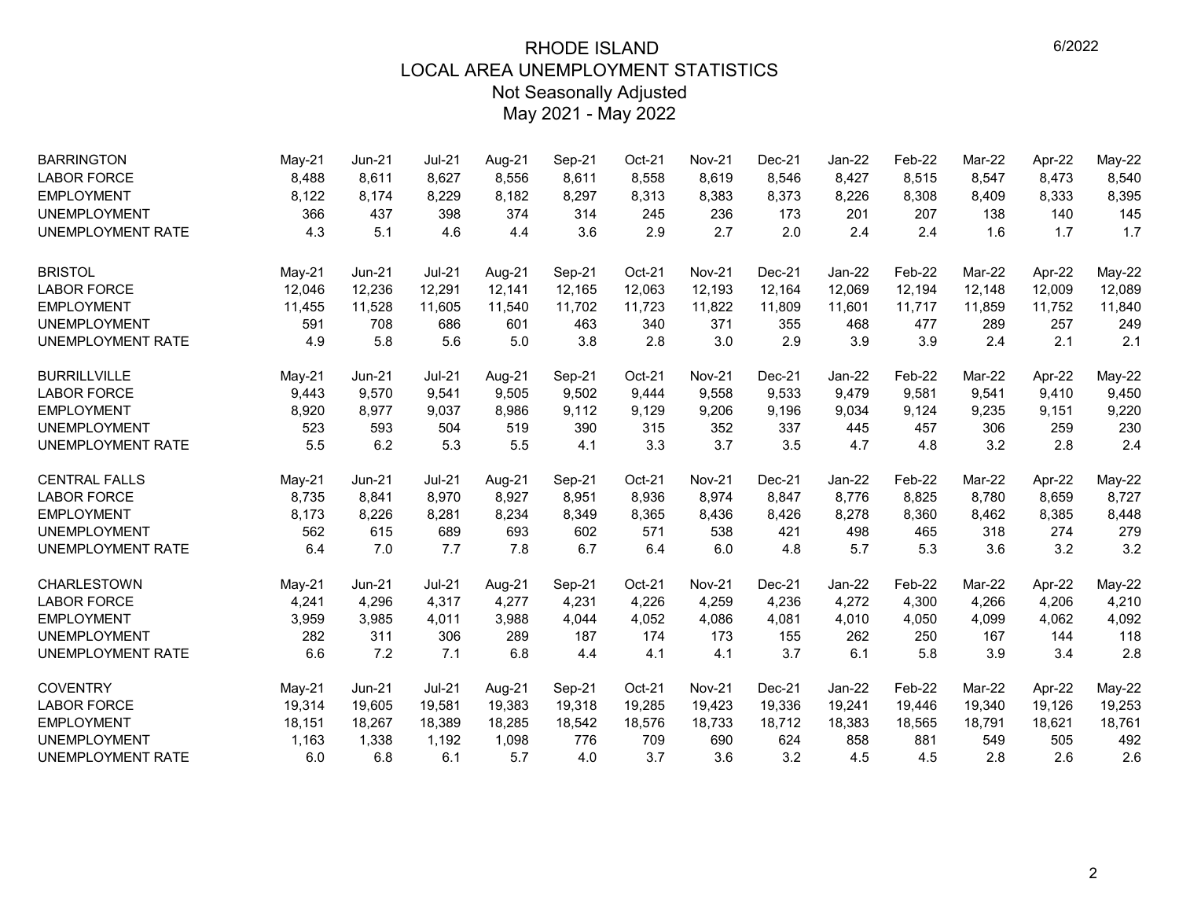| <b>BARRINGTON</b>        | May-21   | <b>Jun-21</b> | <b>Jul-21</b> | Aug-21 | Sep-21 | Oct-21 | <b>Nov-21</b> | Dec-21   | Jan-22   | Feb-22 | Mar-22 | Apr-22 | $May-22$      |
|--------------------------|----------|---------------|---------------|--------|--------|--------|---------------|----------|----------|--------|--------|--------|---------------|
| <b>LABOR FORCE</b>       | 8,488    | 8,611         | 8,627         | 8,556  | 8,611  | 8,558  | 8,619         | 8,546    | 8,427    | 8,515  | 8,547  | 8,473  | 8,540         |
| <b>EMPLOYMENT</b>        | 8,122    | 8.174         | 8,229         | 8,182  | 8,297  | 8,313  | 8,383         | 8,373    | 8,226    | 8,308  | 8,409  | 8,333  | 8,395         |
| <b>UNEMPLOYMENT</b>      | 366      | 437           | 398           | 374    | 314    | 245    | 236           | 173      | 201      | 207    | 138    | 140    | 145           |
| <b>UNEMPLOYMENT RATE</b> | 4.3      | 5.1           | 4.6           | 4.4    | 3.6    | 2.9    | 2.7           | 2.0      | 2.4      | 2.4    | 1.6    | 1.7    | 1.7           |
| <b>BRISTOL</b>           | $May-21$ | <b>Jun-21</b> | <b>Jul-21</b> | Aug-21 | Sep-21 | Oct-21 | <b>Nov-21</b> | Dec-21   | Jan-22   | Feb-22 | Mar-22 | Apr-22 | May-22        |
| <b>LABOR FORCE</b>       | 12,046   | 12,236        | 12,291        | 12,141 | 12,165 | 12,063 | 12,193        | 12,164   | 12,069   | 12,194 | 12,148 | 12,009 | 12,089        |
| <b>EMPLOYMENT</b>        | 11,455   | 11,528        | 11,605        | 11,540 | 11,702 | 11,723 | 11,822        | 11,809   | 11,601   | 11,717 | 11,859 | 11,752 | 11,840        |
| <b>UNEMPLOYMENT</b>      | 591      | 708           | 686           | 601    | 463    | 340    | 371           | 355      | 468      | 477    | 289    | 257    | 249           |
| <b>UNEMPLOYMENT RATE</b> | 4.9      | 5.8           | 5.6           | 5.0    | 3.8    | 2.8    | 3.0           | 2.9      | 3.9      | 3.9    | 2.4    | 2.1    | 2.1           |
| <b>BURRILLVILLE</b>      | $May-21$ | <b>Jun-21</b> | <b>Jul-21</b> | Aug-21 | Sep-21 | Oct-21 | <b>Nov-21</b> | Dec-21   | Jan-22   | Feb-22 | Mar-22 | Apr-22 | May-22        |
| <b>LABOR FORCE</b>       | 9,443    | 9,570         | 9,541         | 9,505  | 9,502  | 9,444  | 9,558         | 9,533    | 9,479    | 9,581  | 9,541  | 9,410  | 9,450         |
| <b>EMPLOYMENT</b>        | 8,920    | 8,977         | 9,037         | 8,986  | 9,112  | 9,129  | 9,206         | 9,196    | 9,034    | 9,124  | 9,235  | 9,151  | 9,220         |
| <b>UNEMPLOYMENT</b>      | 523      | 593           | 504           | 519    | 390    | 315    | 352           | 337      | 445      | 457    | 306    | 259    | 230           |
| UNEMPLOYMENT RATE        | 5.5      | 6.2           | 5.3           | 5.5    | 4.1    | 3.3    | 3.7           | 3.5      | 4.7      | 4.8    | 3.2    | 2.8    | 2.4           |
| <b>CENTRAL FALLS</b>     | $May-21$ | <b>Jun-21</b> | <b>Jul-21</b> | Aug-21 | Sep-21 | Oct-21 | <b>Nov-21</b> | Dec-21   | Jan-22   | Feb-22 | Mar-22 | Apr-22 | <b>May-22</b> |
| <b>LABOR FORCE</b>       | 8,735    | 8,841         | 8,970         | 8,927  | 8,951  | 8,936  | 8,974         | 8,847    | 8,776    | 8,825  | 8,780  | 8,659  | 8,727         |
| <b>EMPLOYMENT</b>        | 8,173    | 8,226         | 8,281         | 8,234  | 8,349  | 8,365  | 8,436         | 8,426    | 8,278    | 8,360  | 8,462  | 8,385  | 8,448         |
| <b>UNEMPLOYMENT</b>      | 562      | 615           | 689           | 693    | 602    | 571    | 538           | 421      | 498      | 465    | 318    | 274    | 279           |
| UNEMPLOYMENT RATE        | 6.4      | 7.0           | 7.7           | 7.8    | 6.7    | 6.4    | 6.0           | 4.8      | 5.7      | 5.3    | 3.6    | 3.2    | 3.2           |
| <b>CHARLESTOWN</b>       | May-21   | <b>Jun-21</b> | <b>Jul-21</b> | Aug-21 | Sep-21 | Oct-21 | <b>Nov-21</b> | $Dec-21$ | $Jan-22$ | Feb-22 | Mar-22 | Apr-22 | May-22        |
| <b>LABOR FORCE</b>       | 4,241    | 4,296         | 4,317         | 4,277  | 4,231  | 4,226  | 4,259         | 4,236    | 4,272    | 4,300  | 4,266  | 4,206  | 4,210         |
| <b>EMPLOYMENT</b>        | 3,959    | 3,985         | 4,011         | 3,988  | 4,044  | 4,052  | 4,086         | 4,081    | 4,010    | 4,050  | 4,099  | 4,062  | 4,092         |
| <b>UNEMPLOYMENT</b>      | 282      | 311           | 306           | 289    | 187    | 174    | 173           | 155      | 262      | 250    | 167    | 144    | 118           |
| UNEMPLOYMENT RATE        | 6.6      | 7.2           | 7.1           | 6.8    | 4.4    | 4.1    | 4.1           | 3.7      | 6.1      | 5.8    | 3.9    | 3.4    | 2.8           |
| <b>COVENTRY</b>          | May-21   | <b>Jun-21</b> | <b>Jul-21</b> | Aug-21 | Sep-21 | Oct-21 | <b>Nov-21</b> | Dec-21   | $Jan-22$ | Feb-22 | Mar-22 | Apr-22 | $May-22$      |
| <b>LABOR FORCE</b>       | 19,314   | 19,605        | 19,581        | 19,383 | 19,318 | 19,285 | 19,423        | 19,336   | 19,241   | 19,446 | 19,340 | 19,126 | 19,253        |
| <b>EMPLOYMENT</b>        | 18,151   | 18,267        | 18,389        | 18,285 | 18,542 | 18,576 | 18,733        | 18,712   | 18,383   | 18,565 | 18,791 | 18,621 | 18,761        |
| <b>UNEMPLOYMENT</b>      | 1,163    | 1,338         | 1,192         | 1,098  | 776    | 709    | 690           | 624      | 858      | 881    | 549    | 505    | 492           |
| UNEMPLOYMENT RATE        | 6.0      | 6.8           | 6.1           | 5.7    | 4.0    | 3.7    | 3.6           | 3.2      | 4.5      | 4.5    | 2.8    | 2.6    | 2.6           |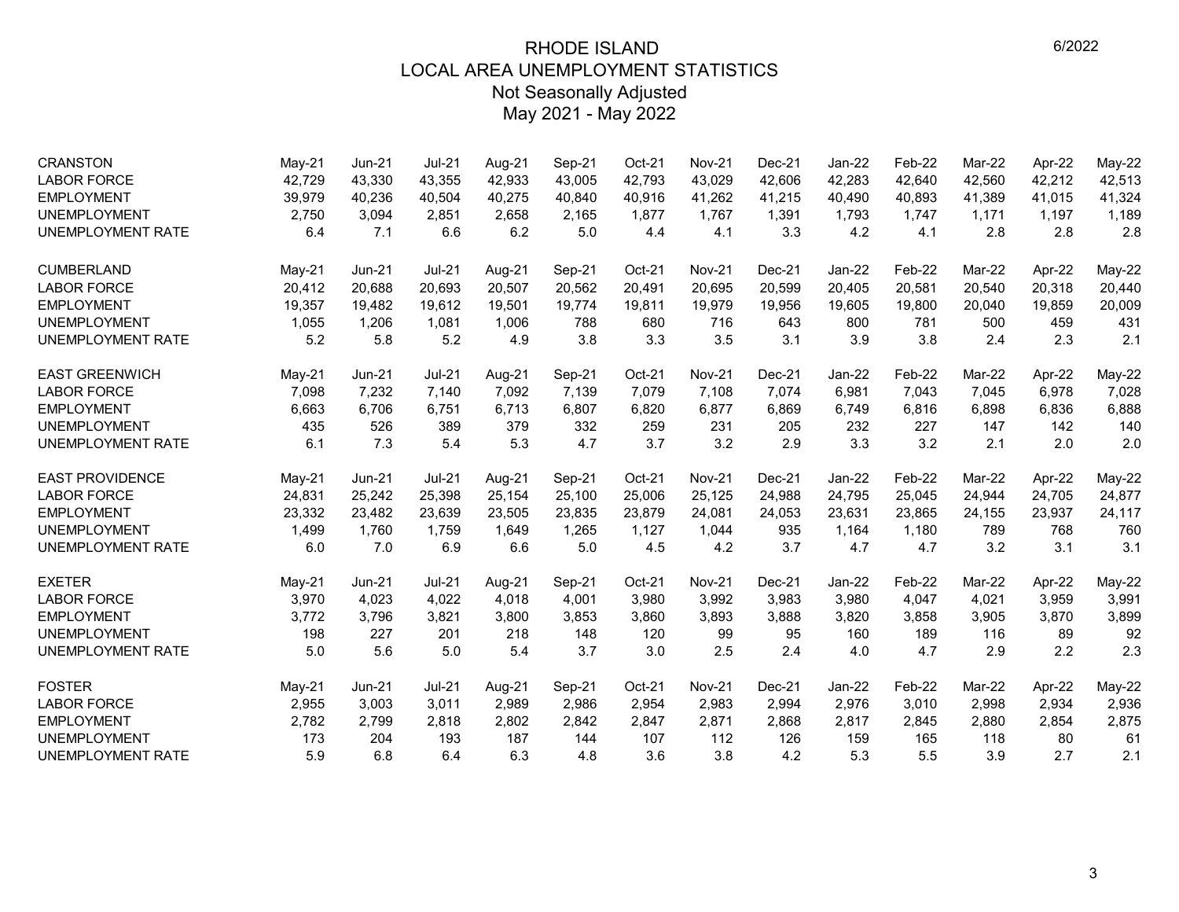| <b>CRANSTON</b><br><b>LABOR FORCE</b> | $May-21$<br>42,729 | Jun-21           | $Jul-21$<br>43,355 | Aug-21<br>42.933 | Sep-21           | Oct-21<br>42,793 | <b>Nov-21</b><br>43,029 | Dec-21<br>42,606 | Jan-22<br>42,283 | Feb-22<br>42,640 | Mar-22<br>42,560 | Apr-22           | May-22<br>42,513 |
|---------------------------------------|--------------------|------------------|--------------------|------------------|------------------|------------------|-------------------------|------------------|------------------|------------------|------------------|------------------|------------------|
| <b>EMPLOYMENT</b>                     | 39,979             | 43,330<br>40,236 | 40,504             | 40,275           | 43,005<br>40,840 | 40,916           | 41,262                  | 41,215           | 40,490           | 40,893           | 41,389           | 42,212<br>41,015 | 41,324           |
| <b>UNEMPLOYMENT</b>                   | 2,750              | 3,094            | 2,851              | 2,658            | 2,165            | 1,877            | 1,767                   | 1,391            | 1,793            | 1,747            | 1,171            | 1,197            | 1,189            |
| <b>UNEMPLOYMENT RATE</b>              | 6.4                | 7.1              | 6.6                | 6.2              | 5.0              | 4.4              | 4.1                     | 3.3              | 4.2              | 4.1              | 2.8              | 2.8              | 2.8              |
|                                       |                    |                  |                    |                  |                  |                  |                         |                  |                  |                  |                  |                  |                  |
| <b>CUMBERLAND</b>                     | $May-21$           | Jun-21           | $Jul-21$           | Aug-21           | Sep-21           | Oct-21           | <b>Nov-21</b>           | $Dec-21$         | $Jan-22$         | Feb-22           | Mar-22           | Apr-22           | May-22           |
| <b>LABOR FORCE</b>                    | 20,412             | 20.688           | 20,693             | 20,507           | 20,562           | 20,491           | 20,695                  | 20,599           | 20,405           | 20,581           | 20,540           | 20,318           | 20,440           |
| <b>EMPLOYMENT</b>                     | 19,357             | 19,482           | 19,612             | 19,501           | 19,774           | 19,811           | 19,979                  | 19,956           | 19,605           | 19,800           | 20,040           | 19,859           | 20,009           |
| <b>UNEMPLOYMENT</b>                   | 1,055              | 1,206            | 1,081              | 1,006            | 788              | 680              | 716                     | 643              | 800              | 781              | 500              | 459              | 431              |
| <b>UNEMPLOYMENT RATE</b>              | 5.2                | 5.8              | 5.2                | 4.9              | 3.8              | 3.3              | 3.5                     | 3.1              | 3.9              | 3.8              | 2.4              | 2.3              | 2.1              |
| <b>EAST GREENWICH</b>                 | May-21             | <b>Jun-21</b>    | $Jul-21$           | Aug-21           | Sep-21           | Oct-21           | <b>Nov-21</b>           | Dec-21           | Jan-22           | Feb-22           | Mar-22           | Apr-22           | May-22           |
| <b>LABOR FORCE</b>                    | 7,098              | 7,232            | 7,140              | 7,092            | 7,139            | 7,079            | 7,108                   | 7,074            | 6,981            | 7,043            | 7,045            | 6,978            | 7,028            |
| <b>EMPLOYMENT</b>                     | 6,663              | 6,706            | 6,751              | 6,713            | 6,807            | 6,820            | 6,877                   | 6,869            | 6,749            | 6,816            | 6,898            | 6,836            | 6,888            |
| <b>UNEMPLOYMENT</b>                   | 435                | 526              | 389                | 379              | 332              | 259              | 231                     | 205              | 232              | 227              | 147              | 142              | 140              |
| UNEMPLOYMENT RATE                     | 6.1                | 7.3              | 5.4                | 5.3              | 4.7              | 3.7              | 3.2                     | 2.9              | 3.3              | 3.2              | 2.1              | 2.0              | 2.0              |
| <b>EAST PROVIDENCE</b>                | May-21             | $Jun-21$         | $Jul-21$           | Aug-21           | Sep-21           | Oct-21           | <b>Nov-21</b>           | Dec-21           | Jan-22           | Feb-22           | Mar-22           | Apr-22           | May-22           |
| <b>LABOR FORCE</b>                    | 24,831             | 25,242           | 25,398             | 25,154           | 25,100           | 25,006           | 25,125                  | 24,988           | 24,795           | 25,045           | 24,944           | 24,705           | 24,877           |
| <b>EMPLOYMENT</b>                     | 23,332             | 23,482           | 23,639             | 23,505           | 23,835           | 23,879           | 24,081                  | 24,053           | 23,631           | 23,865           | 24,155           | 23,937           | 24,117           |
| <b>UNEMPLOYMENT</b>                   | 1,499              | 1,760            | 1,759              | 1,649            | 1,265            | 1,127            | 1,044                   | 935              | 1,164            | 1,180            | 789              | 768              | 760              |
| UNEMPLOYMENT RATE                     | 6.0                | 7.0              | 6.9                | 6.6              | 5.0              | 4.5              | 4.2                     | 3.7              | 4.7              | 4.7              | 3.2              | 3.1              | 3.1              |
| <b>EXETER</b>                         | $May-21$           | $Jun-21$         | $Jul-21$           | Aug-21           | Sep-21           | Oct-21           | <b>Nov-21</b>           | Dec-21           | Jan-22           | Feb-22           | Mar-22           | Apr-22           | <b>May-22</b>    |
| <b>LABOR FORCE</b>                    | 3,970              | 4,023            | 4,022              | 4,018            | 4,001            | 3,980            | 3,992                   | 3,983            | 3,980            | 4,047            | 4,021            | 3,959            | 3,991            |
| <b>EMPLOYMENT</b>                     | 3,772              | 3,796            | 3,821              | 3,800            | 3,853            | 3,860            | 3,893                   | 3,888            | 3,820            | 3,858            | 3,905            | 3,870            | 3,899            |
| <b>UNEMPLOYMENT</b>                   | 198                | 227              | 201                | 218              | 148              | 120              | 99                      | 95               | 160              | 189              | 116              | 89               | 92               |
| UNEMPLOYMENT RATE                     | 5.0                | 5.6              | 5.0                | 5.4              | 3.7              | 3.0              | 2.5                     | 2.4              | 4.0              | 4.7              | 2.9              | 2.2              | 2.3              |
| <b>FOSTER</b>                         | May-21             | Jun-21           | $Jul-21$           | Aug-21           | Sep-21           | Oct-21           | <b>Nov-21</b>           | $Dec-21$         | $Jan-22$         | Feb-22           | Mar-22           | Apr-22           | <b>May-22</b>    |
| <b>LABOR FORCE</b>                    | 2,955              | 3,003            | 3,011              | 2,989            | 2,986            | 2,954            | 2,983                   | 2,994            | 2,976            | 3,010            | 2,998            | 2,934            | 2,936            |
| <b>EMPLOYMENT</b>                     | 2,782              | 2,799            | 2,818              | 2,802            | 2,842            | 2,847            | 2,871                   | 2,868            | 2,817            | 2,845            | 2,880            | 2,854            | 2,875            |
| <b>UNEMPLOYMENT</b>                   | 173                | 204              | 193                | 187              | 144              | 107              | 112                     | 126              | 159              | 165              | 118              | 80               | 61               |
| UNEMPLOYMENT RATE                     | 5.9                | 6.8              | 6.4                | 6.3              | 4.8              | 3.6              | 3.8                     | 4.2              | 5.3              | 5.5              | 3.9              | 2.7              | 2.1              |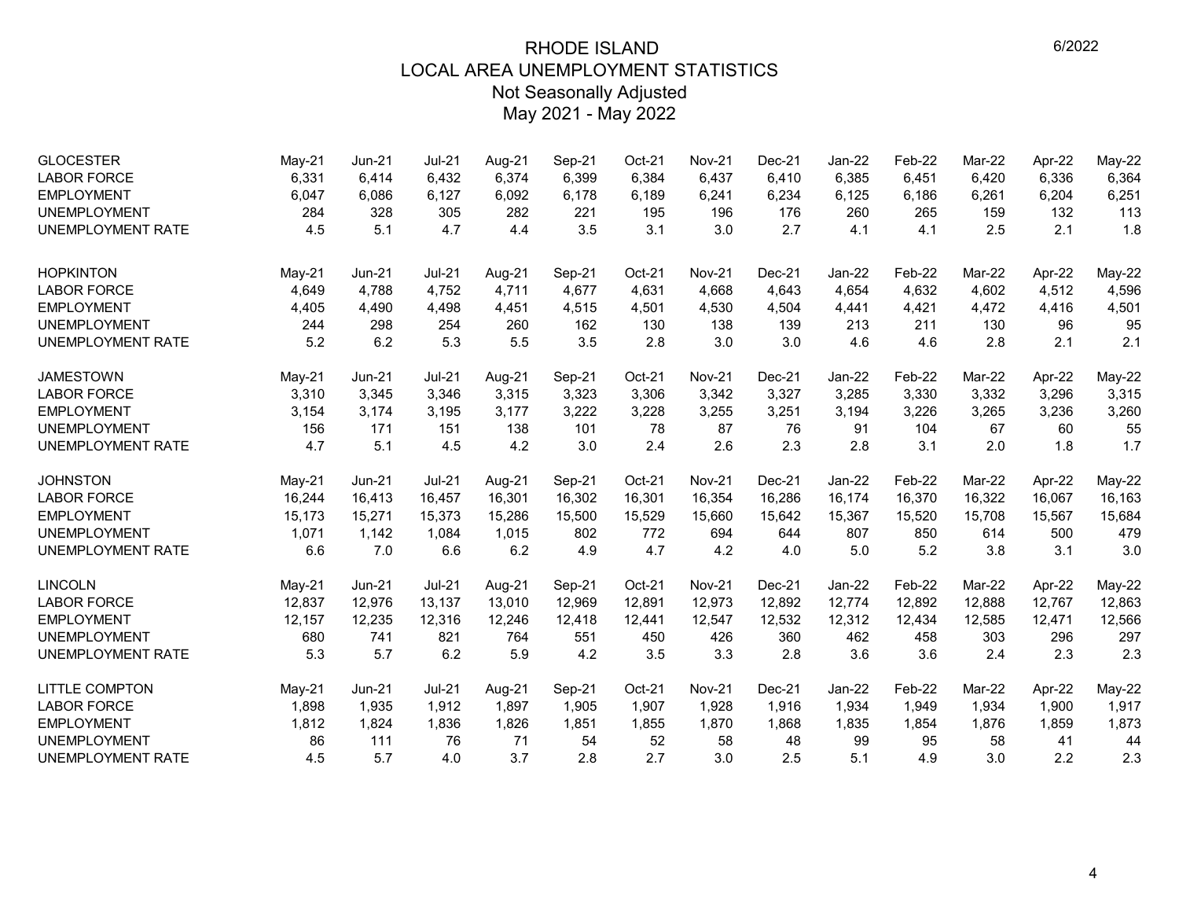| <b>GLOCESTER</b><br><b>LABOR FORCE</b> | May-21<br>6,331 | Jun-21<br>6,414 | <b>Jul-21</b><br>6,432 | Aug-21<br>6,374 | Sep-21<br>6,399 | Oct-21<br>6,384 | <b>Nov-21</b><br>6,437 | $Dec-21$<br>6,410 | Jan-22<br>6,385 | Feb-22<br>6,451 | Mar-22<br>6,420 | Apr-22<br>6,336 | May-22<br>6,364 |
|----------------------------------------|-----------------|-----------------|------------------------|-----------------|-----------------|-----------------|------------------------|-------------------|-----------------|-----------------|-----------------|-----------------|-----------------|
| <b>EMPLOYMENT</b>                      | 6,047           | 6,086           | 6,127                  | 6,092           | 6,178           | 6,189           | 6,241                  | 6,234             | 6,125           | 6,186           | 6,261           | 6,204           | 6,251           |
| <b>UNEMPLOYMENT</b>                    | 284             | 328             | 305                    | 282             | 221             | 195             | 196                    | 176               | 260             | 265             | 159             | 132             | 113             |
| <b>UNEMPLOYMENT RATE</b>               | 4.5             | 5.1             | 4.7                    | 4.4             | 3.5             | 3.1             | 3.0                    | 2.7               | 4.1             | 4.1             | 2.5             | 2.1             | 1.8             |
| <b>HOPKINTON</b>                       | $May-21$        | <b>Jun-21</b>   | $Jul-21$               | Aug-21          | Sep-21          | Oct-21          | <b>Nov-21</b>          | Dec-21            | $Jan-22$        | Feb-22          | Mar-22          | Apr-22          | May-22          |
| <b>LABOR FORCE</b>                     | 4,649           | 4,788           | 4,752                  | 4,711           | 4,677           | 4,631           | 4,668                  | 4,643             | 4,654           | 4,632           | 4,602           | 4,512           | 4,596           |
| <b>EMPLOYMENT</b>                      | 4,405           | 4,490           | 4,498                  | 4,451           | 4,515           | 4,501           | 4,530                  | 4,504             | 4,441           | 4,421           | 4,472           | 4,416           | 4,501           |
| <b>UNEMPLOYMENT</b>                    | 244             | 298             | 254                    | 260             | 162             | 130             | 138                    | 139               | 213             | 211             | 130             | 96              | 95              |
| <b>UNEMPLOYMENT RATE</b>               | 5.2             | 6.2             | 5.3                    | 5.5             | 3.5             | 2.8             | 3.0                    | 3.0               | 4.6             | 4.6             | 2.8             | 2.1             | 2.1             |
| <b>JAMESTOWN</b>                       | $May-21$        | Jun-21          | $Jul-21$               | Aug-21          | Sep-21          | Oct-21          | <b>Nov-21</b>          | Dec-21            | Jan-22          | Feb-22          | Mar-22          | Apr-22          | May-22          |
| <b>LABOR FORCE</b>                     | 3,310           | 3,345           | 3,346                  | 3,315           | 3,323           | 3,306           | 3,342                  | 3,327             | 3,285           | 3,330           | 3,332           | 3,296           | 3,315           |
| <b>EMPLOYMENT</b>                      | 3,154           | 3,174           | 3,195                  | 3,177           | 3,222           | 3,228           | 3,255                  | 3,251             | 3,194           | 3,226           | 3,265           | 3,236           | 3,260           |
| <b>UNEMPLOYMENT</b>                    | 156             | 171             | 151                    | 138             | 101             | 78              | 87                     | 76                | 91              | 104             | 67              | 60              | 55              |
| <b>UNEMPLOYMENT RATE</b>               | 4.7             | 5.1             | 4.5                    | 4.2             | 3.0             | 2.4             | 2.6                    | 2.3               | 2.8             | 3.1             | 2.0             | 1.8             | 1.7             |
| <b>JOHNSTON</b>                        | $May-21$        | $Jun-21$        | <b>Jul-21</b>          | Aug-21          | Sep-21          | Oct-21          | <b>Nov-21</b>          | Dec-21            | Jan-22          | Feb-22          | Mar-22          | Apr-22          | May-22          |
| <b>LABOR FORCE</b>                     | 16,244          | 16,413          | 16,457                 | 16,301          | 16,302          | 16,301          | 16,354                 | 16,286            | 16,174          | 16,370          | 16,322          | 16,067          | 16,163          |
| <b>EMPLOYMENT</b>                      | 15,173          | 15,271          | 15,373                 | 15,286          | 15,500          | 15,529          | 15,660                 | 15,642            | 15,367          | 15,520          | 15,708          | 15,567          | 15,684          |
| <b>UNEMPLOYMENT</b>                    | 1,071           | 1,142           | 1,084                  | 1,015           | 802             | 772             | 694                    | 644               | 807             | 850             | 614             | 500             | 479             |
| UNEMPLOYMENT RATE                      | 6.6             | 7.0             | 6.6                    | 6.2             | 4.9             | 4.7             | 4.2                    | 4.0               | 5.0             | 5.2             | 3.8             | 3.1             | 3.0             |
| <b>LINCOLN</b>                         | May-21          | $Jun-21$        | $Jul-21$               | Aug-21          | Sep-21          | Oct-21          | <b>Nov-21</b>          | Dec-21            | Jan-22          | Feb-22          | Mar-22          | Apr-22          | May-22          |
| <b>LABOR FORCE</b>                     | 12,837          | 12,976          | 13,137                 | 13,010          | 12,969          | 12,891          | 12,973                 | 12,892            | 12,774          | 12,892          | 12,888          | 12,767          | 12,863          |
| <b>EMPLOYMENT</b>                      | 12,157          | 12,235          | 12,316                 | 12,246          | 12,418          | 12,441          | 12,547                 | 12,532            | 12,312          | 12,434          | 12,585          | 12,471          | 12,566          |
| <b>UNEMPLOYMENT</b>                    | 680             | 741             | 821                    | 764             | 551             | 450             | 426                    | 360               | 462             | 458             | 303             | 296             | 297             |
| <b>UNEMPLOYMENT RATE</b>               | 5.3             | 5.7             | 6.2                    | 5.9             | 4.2             | 3.5             | 3.3                    | 2.8               | 3.6             | 3.6             | 2.4             | 2.3             | 2.3             |
| <b>LITTLE COMPTON</b>                  | May-21          | <b>Jun-21</b>   | $Jul-21$               | Aug-21          | Sep-21          | Oct-21          | <b>Nov-21</b>          | $Dec-21$          | Jan-22          | Feb-22          | Mar-22          | Apr-22          | May-22          |
| <b>LABOR FORCE</b>                     | 1,898           | 1,935           | 1,912                  | 1,897           | 1,905           | 1,907           | 1,928                  | 1,916             | 1,934           | 1,949           | 1,934           | 1,900           | 1,917           |
| <b>EMPLOYMENT</b>                      | 1,812           | 1,824           | 1,836                  | 1,826           | 1,851           | 1,855           | 1,870                  | 1,868             | 1,835           | 1,854           | 1,876           | 1,859           | 1,873           |
| <b>UNEMPLOYMENT</b>                    | 86              | 111             | 76                     | 71              | 54              | 52              | 58                     | 48                | 99              | 95              | 58              | 41              | 44              |
| <b>UNEMPLOYMENT RATE</b>               | 4.5             | 5.7             | 4.0                    | 3.7             | 2.8             | 2.7             | 3.0                    | 2.5               | 5.1             | 4.9             | 3.0             | 2.2             | 2.3             |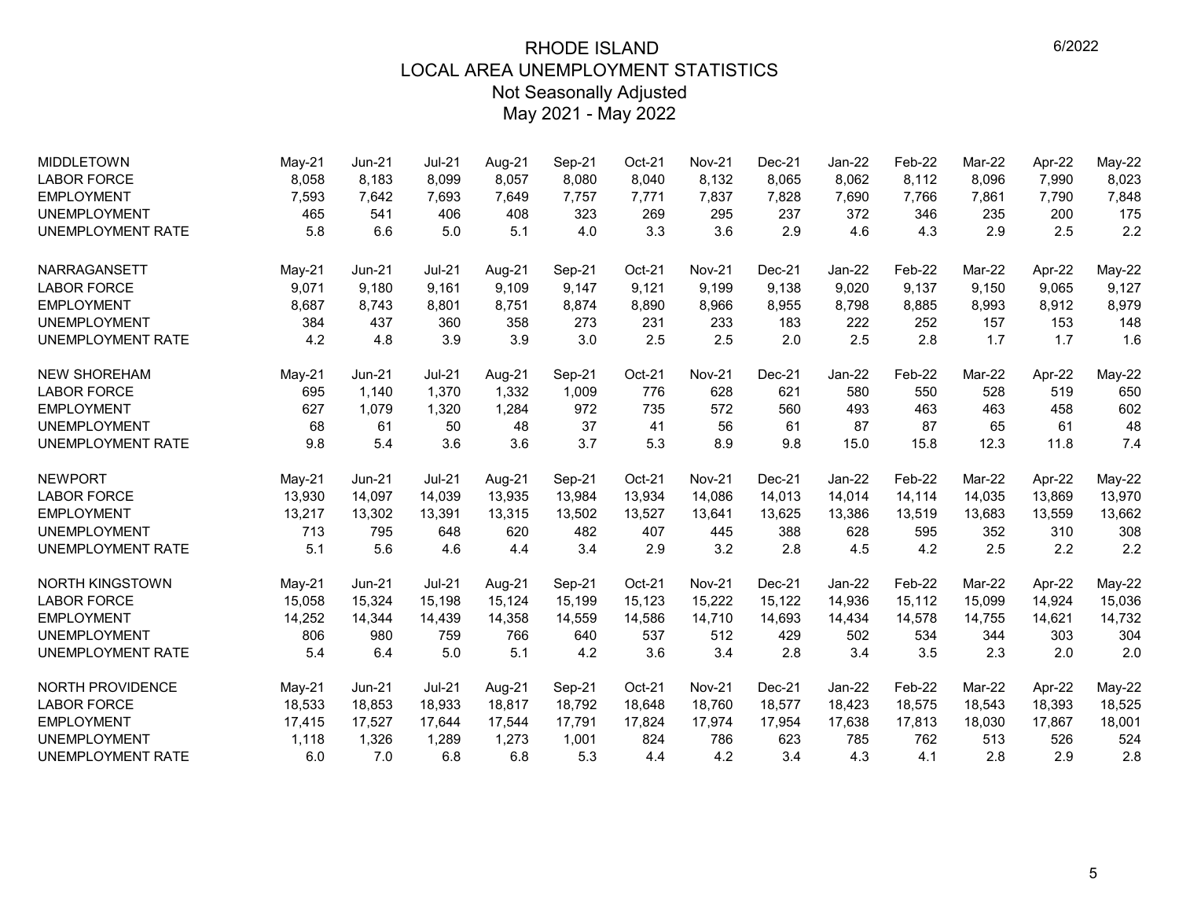| <b>MIDDLETOWN</b>       | $May-21$ | Jun-21        | Jul-21   | Aug-21 | Sep-21 | Oct-21 | <b>Nov-21</b> | Dec-21   | Jan-22   | Feb-22 | Mar-22 | Apr-22 | May-22        |
|-------------------------|----------|---------------|----------|--------|--------|--------|---------------|----------|----------|--------|--------|--------|---------------|
| <b>LABOR FORCE</b>      | 8,058    | 8,183         | 8.099    | 8,057  | 8.080  | 8,040  | 8,132         | 8,065    | 8,062    | 8,112  | 8,096  | 7.990  | 8,023         |
| <b>EMPLOYMENT</b>       | 7,593    | 7,642         | 7,693    | 7,649  | 7,757  | 7,771  | 7,837         | 7,828    | 7,690    | 7,766  | 7,861  | 7,790  | 7,848         |
| <b>UNEMPLOYMENT</b>     | 465      | 541           | 406      | 408    | 323    | 269    | 295           | 237      | 372      | 346    | 235    | 200    | 175           |
| UNEMPLOYMENT RATE       | 5.8      | 6.6           | 5.0      | 5.1    | 4.0    | 3.3    | 3.6           | 2.9      | 4.6      | 4.3    | 2.9    | 2.5    | 2.2           |
| <b>NARRAGANSETT</b>     | $May-21$ | Jun-21        | $Jul-21$ | Aug-21 | Sep-21 | Oct-21 | <b>Nov-21</b> | Dec-21   | $Jan-22$ | Feb-22 | Mar-22 | Apr-22 | $May-22$      |
| <b>LABOR FORCE</b>      | 9,071    | 9,180         | 9,161    | 9,109  | 9,147  | 9,121  | 9,199         | 9,138    | 9,020    | 9,137  | 9,150  | 9,065  | 9,127         |
| <b>EMPLOYMENT</b>       | 8,687    | 8,743         | 8,801    | 8,751  | 8,874  | 8,890  | 8,966         | 8,955    | 8,798    | 8,885  | 8,993  | 8,912  | 8,979         |
| <b>UNEMPLOYMENT</b>     | 384      | 437           | 360      | 358    | 273    | 231    | 233           | 183      | 222      | 252    | 157    | 153    | 148           |
| UNEMPLOYMENT RATE       | 4.2      | 4.8           | 3.9      | 3.9    | 3.0    | 2.5    | 2.5           | 2.0      | 2.5      | 2.8    | 1.7    | 1.7    | 1.6           |
| <b>NEW SHOREHAM</b>     | $May-21$ | <b>Jun-21</b> | $Jul-21$ | Aug-21 | Sep-21 | Oct-21 | <b>Nov-21</b> | Dec-21   | Jan-22   | Feb-22 | Mar-22 | Apr-22 | May-22        |
| <b>LABOR FORCE</b>      | 695      | 1,140         | 1,370    | 1,332  | 1,009  | 776    | 628           | 621      | 580      | 550    | 528    | 519    | 650           |
| <b>EMPLOYMENT</b>       | 627      | 1,079         | 1,320    | 1,284  | 972    | 735    | 572           | 560      | 493      | 463    | 463    | 458    | 602           |
| <b>UNEMPLOYMENT</b>     | 68       | 61            | 50       | 48     | 37     | 41     | 56            | 61       | 87       | 87     | 65     | 61     | 48            |
| UNEMPLOYMENT RATE       | 9.8      | 5.4           | 3.6      | 3.6    | 3.7    | 5.3    | 8.9           | 9.8      | 15.0     | 15.8   | 12.3   | 11.8   | 7.4           |
| <b>NEWPORT</b>          | $May-21$ | <b>Jun-21</b> | $Jul-21$ | Aug-21 | Sep-21 | Oct-21 | <b>Nov-21</b> | Dec-21   | $Jan-22$ | Feb-22 | Mar-22 | Apr-22 | <b>May-22</b> |
| <b>LABOR FORCE</b>      | 13,930   | 14,097        | 14,039   | 13,935 | 13,984 | 13,934 | 14,086        | 14,013   | 14,014   | 14,114 | 14,035 | 13,869 | 13,970        |
| <b>EMPLOYMENT</b>       | 13,217   | 13,302        | 13,391   | 13,315 | 13,502 | 13,527 | 13,641        | 13,625   | 13,386   | 13,519 | 13,683 | 13,559 | 13,662        |
| <b>UNEMPLOYMENT</b>     | 713      | 795           | 648      | 620    | 482    | 407    | 445           | 388      | 628      | 595    | 352    | 310    | 308           |
| UNEMPLOYMENT RATE       | 5.1      | 5.6           | 4.6      | 4.4    | 3.4    | 2.9    | 3.2           | 2.8      | 4.5      | 4.2    | 2.5    | 2.2    | 2.2           |
| <b>NORTH KINGSTOWN</b>  | $May-21$ | $Jun-21$      | $Jul-21$ | Aug-21 | Sep-21 | Oct-21 | <b>Nov-21</b> | $Dec-21$ | Jan-22   | Feb-22 | Mar-22 | Apr-22 | $May-22$      |
| <b>LABOR FORCE</b>      | 15,058   | 15,324        | 15,198   | 15,124 | 15,199 | 15,123 | 15,222        | 15,122   | 14,936   | 15,112 | 15,099 | 14,924 | 15,036        |
| <b>EMPLOYMENT</b>       | 14,252   | 14,344        | 14,439   | 14,358 | 14,559 | 14,586 | 14,710        | 14,693   | 14,434   | 14,578 | 14,755 | 14,621 | 14,732        |
| <b>UNEMPLOYMENT</b>     | 806      | 980           | 759      | 766    | 640    | 537    | 512           | 429      | 502      | 534    | 344    | 303    | 304           |
| UNEMPLOYMENT RATE       | 5.4      | 6.4           | 5.0      | 5.1    | 4.2    | 3.6    | 3.4           | 2.8      | 3.4      | 3.5    | 2.3    | 2.0    | 2.0           |
| <b>NORTH PROVIDENCE</b> | $May-21$ | $Jun-21$      | $Jul-21$ | Aug-21 | Sep-21 | Oct-21 | <b>Nov-21</b> | $Dec-21$ | Jan-22   | Feb-22 | Mar-22 | Apr-22 | May-22        |
| <b>LABOR FORCE</b>      | 18,533   | 18,853        | 18,933   | 18,817 | 18,792 | 18,648 | 18,760        | 18,577   | 18,423   | 18,575 | 18,543 | 18,393 | 18,525        |
| <b>EMPLOYMENT</b>       | 17,415   | 17,527        | 17,644   | 17,544 | 17,791 | 17,824 | 17,974        | 17,954   | 17,638   | 17,813 | 18,030 | 17,867 | 18,001        |
| <b>UNEMPLOYMENT</b>     | 1.118    | 1,326         | 1,289    | 1,273  | 1,001  | 824    | 786           | 623      | 785      | 762    | 513    | 526    | 524           |
| UNEMPLOYMENT RATE       | 6.0      | 7.0           | 6.8      | 6.8    | 5.3    | 4.4    | 4.2           | 3.4      | 4.3      | 4.1    | 2.8    | 2.9    | 2.8           |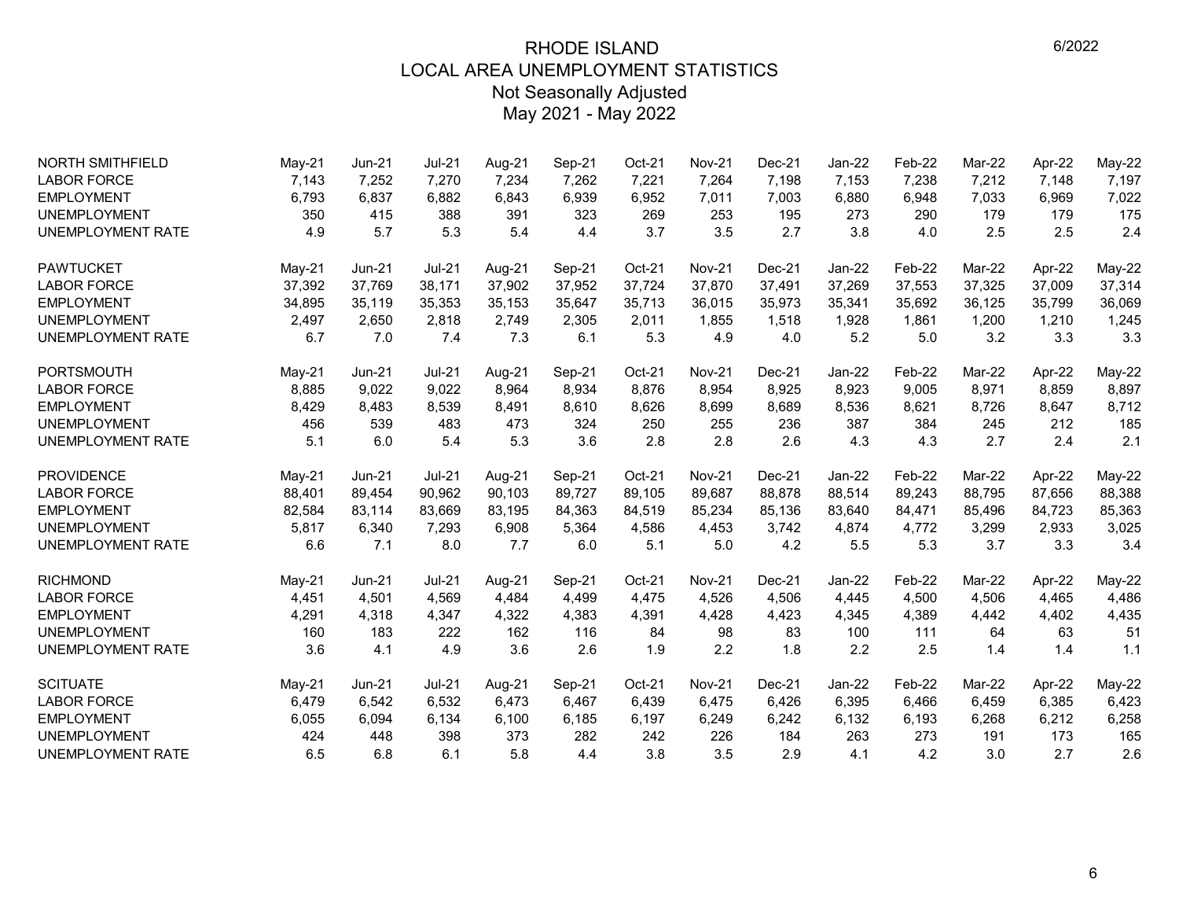| <b>NORTH SMITHFIELD</b>  | May-21   | <b>Jun-21</b> | <b>Jul-21</b> | Aug-21 | Sep-21 | Oct-21 | <b>Nov-21</b> | $Dec-21$ | $Jan-22$ | Feb-22 | Mar-22 | Apr-22 | May-22        |
|--------------------------|----------|---------------|---------------|--------|--------|--------|---------------|----------|----------|--------|--------|--------|---------------|
| <b>LABOR FORCE</b>       | 7,143    | 7,252         | 7,270         | 7,234  | 7,262  | 7,221  | 7,264         | 7,198    | 7,153    | 7,238  | 7,212  | 7,148  | 7,197         |
| <b>EMPLOYMENT</b>        | 6,793    | 6,837         | 6,882         | 6,843  | 6,939  | 6,952  | 7,011         | 7,003    | 6,880    | 6,948  | 7,033  | 6,969  | 7,022         |
| <b>UNEMPLOYMENT</b>      | 350      | 415           | 388           | 391    | 323    | 269    | 253           | 195      | 273      | 290    | 179    | 179    | 175           |
| <b>UNEMPLOYMENT RATE</b> | 4.9      | 5.7           | 5.3           | 5.4    | 4.4    | 3.7    | 3.5           | 2.7      | 3.8      | 4.0    | 2.5    | 2.5    | 2.4           |
| <b>PAWTUCKET</b>         | $May-21$ | <b>Jun-21</b> | <b>Jul-21</b> | Aug-21 | Sep-21 | Oct-21 | <b>Nov-21</b> | $Dec-21$ | Jan-22   | Feb-22 | Mar-22 | Apr-22 | May-22        |
| <b>LABOR FORCE</b>       | 37,392   | 37,769        | 38,171        | 37,902 | 37,952 | 37,724 | 37,870        | 37,491   | 37,269   | 37,553 | 37,325 | 37,009 | 37,314        |
| <b>EMPLOYMENT</b>        | 34,895   | 35,119        | 35,353        | 35,153 | 35,647 | 35,713 | 36,015        | 35,973   | 35,341   | 35,692 | 36,125 | 35,799 | 36,069        |
| <b>UNEMPLOYMENT</b>      | 2,497    | 2,650         | 2,818         | 2,749  | 2,305  | 2,011  | 1,855         | 1,518    | 1,928    | 1,861  | 1,200  | 1,210  | 1,245         |
| <b>UNEMPLOYMENT RATE</b> | 6.7      | 7.0           | 7.4           | 7.3    | 6.1    | 5.3    | 4.9           | 4.0      | 5.2      | 5.0    | 3.2    | 3.3    | 3.3           |
| <b>PORTSMOUTH</b>        | May-21   | <b>Jun-21</b> | <b>Jul-21</b> | Aug-21 | Sep-21 | Oct-21 | <b>Nov-21</b> | $Dec-21$ | Jan-22   | Feb-22 | Mar-22 | Apr-22 | May-22        |
| <b>LABOR FORCE</b>       | 8,885    | 9,022         | 9,022         | 8,964  | 8,934  | 8,876  | 8,954         | 8,925    | 8,923    | 9,005  | 8,971  | 8,859  | 8,897         |
| <b>EMPLOYMENT</b>        | 8,429    | 8,483         | 8,539         | 8,491  | 8,610  | 8,626  | 8,699         | 8,689    | 8,536    | 8,621  | 8,726  | 8,647  | 8,712         |
| <b>UNEMPLOYMENT</b>      | 456      | 539           | 483           | 473    | 324    | 250    | 255           | 236      | 387      | 384    | 245    | 212    | 185           |
| <b>UNEMPLOYMENT RATE</b> | 5.1      | 6.0           | 5.4           | 5.3    | 3.6    | 2.8    | 2.8           | 2.6      | 4.3      | 4.3    | 2.7    | 2.4    | 2.1           |
| <b>PROVIDENCE</b>        | $May-21$ | <b>Jun-21</b> | $Jul-21$      | Aug-21 | Sep-21 | Oct-21 | <b>Nov-21</b> | $Dec-21$ | $Jan-22$ | Feb-22 | Mar-22 | Apr-22 | <b>May-22</b> |
| <b>LABOR FORCE</b>       | 88,401   | 89,454        | 90,962        | 90,103 | 89,727 | 89,105 | 89,687        | 88,878   | 88,514   | 89,243 | 88,795 | 87,656 | 88,388        |
| <b>EMPLOYMENT</b>        | 82,584   | 83,114        | 83,669        | 83,195 | 84,363 | 84,519 | 85,234        | 85,136   | 83,640   | 84,471 | 85,496 | 84,723 | 85,363        |
| <b>UNEMPLOYMENT</b>      | 5,817    | 6,340         | 7,293         | 6,908  | 5,364  | 4,586  | 4,453         | 3,742    | 4,874    | 4,772  | 3,299  | 2,933  | 3,025         |
| <b>UNEMPLOYMENT RATE</b> | 6.6      | 7.1           | 8.0           | 7.7    | 6.0    | 5.1    | 5.0           | 4.2      | 5.5      | 5.3    | 3.7    | 3.3    | 3.4           |
| <b>RICHMOND</b>          | May-21   | Jun-21        | <b>Jul-21</b> | Aug-21 | Sep-21 | Oct-21 | <b>Nov-21</b> | Dec-21   | Jan-22   | Feb-22 | Mar-22 | Apr-22 | May-22        |
| <b>LABOR FORCE</b>       | 4,451    | 4,501         | 4,569         | 4,484  | 4,499  | 4,475  | 4,526         | 4,506    | 4,445    | 4,500  | 4,506  | 4,465  | 4,486         |
| <b>EMPLOYMENT</b>        | 4,291    | 4,318         | 4,347         | 4,322  | 4,383  | 4,391  | 4,428         | 4,423    | 4,345    | 4,389  | 4,442  | 4,402  | 4,435         |
| <b>UNEMPLOYMENT</b>      | 160      | 183           | 222           | 162    | 116    | 84     | 98            | 83       | 100      | 111    | 64     | 63     | 51            |
| <b>UNEMPLOYMENT RATE</b> | 3.6      | 4.1           | 4.9           | 3.6    | 2.6    | 1.9    | 2.2           | 1.8      | 2.2      | 2.5    | 1.4    | 1.4    | 1.1           |
| <b>SCITUATE</b>          | $May-21$ | $Jun-21$      | $Jul-21$      | Aug-21 | Sep-21 | Oct-21 | <b>Nov-21</b> | $Dec-21$ | $Jan-22$ | Feb-22 | Mar-22 | Apr-22 | <b>May-22</b> |
| <b>LABOR FORCE</b>       | 6,479    | 6,542         | 6.532         | 6,473  | 6,467  | 6,439  | 6,475         | 6,426    | 6,395    | 6.466  | 6,459  | 6,385  | 6,423         |
| <b>EMPLOYMENT</b>        | 6,055    | 6,094         | 6,134         | 6,100  | 6,185  | 6,197  | 6,249         | 6,242    | 6,132    | 6,193  | 6,268  | 6,212  | 6,258         |
| <b>UNEMPLOYMENT</b>      | 424      | 448           | 398           | 373    | 282    | 242    | 226           | 184      | 263      | 273    | 191    | 173    | 165           |
| <b>UNEMPLOYMENT RATE</b> | 6.5      | 6.8           | 6.1           | 5.8    | 4.4    | 3.8    | 3.5           | 2.9      | 4.1      | 4.2    | 3.0    | 2.7    | 2.6           |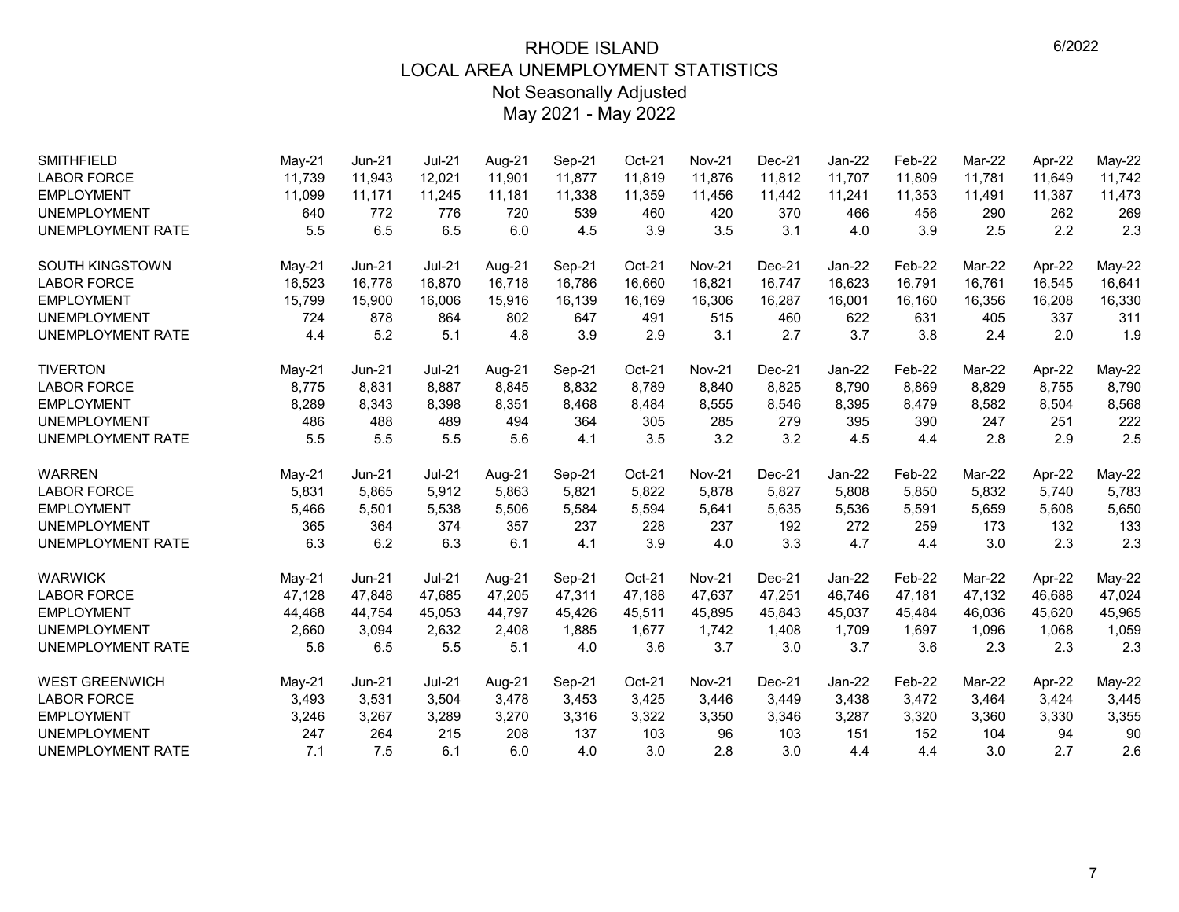| <b>SMITHFIELD</b>        | May-21   | <b>Jun-21</b> | $Jul-21$ | Aug-21 | Sep-21 | Oct-21 | <b>Nov-21</b> | Dec-21   | Jan-22   | Feb-22 | Mar-22 | Apr-22 | May-22 |
|--------------------------|----------|---------------|----------|--------|--------|--------|---------------|----------|----------|--------|--------|--------|--------|
| <b>LABOR FORCE</b>       | 11.739   | 11,943        | 12,021   | 11,901 | 11,877 | 11,819 | 11,876        | 11,812   | 11,707   | 11,809 | 11,781 | 11,649 | 11,742 |
| <b>EMPLOYMENT</b>        | 11,099   | 11,171        | 11,245   | 11,181 | 11,338 | 11,359 | 11,456        | 11,442   | 11,241   | 11,353 | 11,491 | 11,387 | 11,473 |
| <b>UNEMPLOYMENT</b>      | 640      | 772           | 776      | 720    | 539    | 460    | 420           | 370      | 466      | 456    | 290    | 262    | 269    |
| <b>UNEMPLOYMENT RATE</b> | 5.5      | 6.5           | 6.5      | 6.0    | 4.5    | 3.9    | 3.5           | 3.1      | 4.0      | 3.9    | 2.5    | 2.2    | 2.3    |
| <b>SOUTH KINGSTOWN</b>   | May-21   | $Jun-21$      | $Jul-21$ | Aug-21 | Sep-21 | Oct-21 | <b>Nov-21</b> | Dec-21   | Jan-22   | Feb-22 | Mar-22 | Apr-22 | May-22 |
| <b>LABOR FORCE</b>       | 16,523   | 16,778        | 16,870   | 16,718 | 16,786 | 16,660 | 16,821        | 16,747   | 16,623   | 16,791 | 16,761 | 16,545 | 16,641 |
| <b>EMPLOYMENT</b>        | 15,799   | 15,900        | 16,006   | 15,916 | 16,139 | 16,169 | 16,306        | 16,287   | 16,001   | 16,160 | 16,356 | 16,208 | 16,330 |
| <b>UNEMPLOYMENT</b>      | 724      | 878           | 864      | 802    | 647    | 491    | 515           | 460      | 622      | 631    | 405    | 337    | 311    |
| UNEMPLOYMENT RATE        | 4.4      | 5.2           | 5.1      | 4.8    | 3.9    | 2.9    | 3.1           | 2.7      | 3.7      | 3.8    | 2.4    | 2.0    | 1.9    |
| <b>TIVERTON</b>          | May-21   | $Jun-21$      | $Jul-21$ | Aug-21 | Sep-21 | Oct-21 | <b>Nov-21</b> | $Dec-21$ | Jan-22   | Feb-22 | Mar-22 | Apr-22 | May-22 |
| <b>LABOR FORCE</b>       | 8,775    | 8,831         | 8.887    | 8,845  | 8,832  | 8,789  | 8,840         | 8,825    | 8,790    | 8,869  | 8,829  | 8,755  | 8,790  |
| <b>EMPLOYMENT</b>        | 8,289    | 8,343         | 8,398    | 8,351  | 8,468  | 8,484  | 8,555         | 8,546    | 8,395    | 8,479  | 8,582  | 8,504  | 8,568  |
| <b>UNEMPLOYMENT</b>      | 486      | 488           | 489      | 494    | 364    | 305    | 285           | 279      | 395      | 390    | 247    | 251    | 222    |
| <b>UNEMPLOYMENT RATE</b> | 5.5      | 5.5           | 5.5      | 5.6    | 4.1    | 3.5    | 3.2           | 3.2      | 4.5      | 4.4    | 2.8    | 2.9    | 2.5    |
| <b>WARREN</b>            | $May-21$ | <b>Jun-21</b> | $Jul-21$ | Aug-21 | Sep-21 | Oct-21 | <b>Nov-21</b> | $Dec-21$ | $Jan-22$ | Feb-22 | Mar-22 | Apr-22 | May-22 |
| <b>LABOR FORCE</b>       | 5,831    | 5,865         | 5,912    | 5,863  | 5,821  | 5,822  | 5,878         | 5,827    | 5,808    | 5,850  | 5,832  | 5,740  | 5,783  |
| <b>EMPLOYMENT</b>        | 5,466    | 5,501         | 5,538    | 5,506  | 5,584  | 5,594  | 5,641         | 5,635    | 5,536    | 5,591  | 5,659  | 5,608  | 5,650  |
| <b>UNEMPLOYMENT</b>      | 365      | 364           | 374      | 357    | 237    | 228    | 237           | 192      | 272      | 259    | 173    | 132    | 133    |
| UNEMPLOYMENT RATE        | 6.3      | 6.2           | 6.3      | 6.1    | 4.1    | 3.9    | 4.0           | 3.3      | 4.7      | 4.4    | 3.0    | 2.3    | 2.3    |
| <b>WARWICK</b>           | May-21   | <b>Jun-21</b> | $Jul-21$ | Aug-21 | Sep-21 | Oct-21 | <b>Nov-21</b> | Dec-21   | Jan-22   | Feb-22 | Mar-22 | Apr-22 | May-22 |
| <b>LABOR FORCE</b>       | 47,128   | 47,848        | 47,685   | 47,205 | 47,311 | 47,188 | 47,637        | 47,251   | 46,746   | 47,181 | 47,132 | 46,688 | 47,024 |
| <b>EMPLOYMENT</b>        | 44,468   | 44,754        | 45,053   | 44,797 | 45,426 | 45,511 | 45,895        | 45,843   | 45,037   | 45,484 | 46,036 | 45,620 | 45,965 |
| <b>UNEMPLOYMENT</b>      | 2,660    | 3,094         | 2,632    | 2,408  | 1,885  | 1,677  | 1,742         | 1,408    | 1,709    | 1,697  | 1,096  | 1,068  | 1,059  |
| UNEMPLOYMENT RATE        | 5.6      | 6.5           | 5.5      | 5.1    | 4.0    | 3.6    | 3.7           | 3.0      | 3.7      | 3.6    | 2.3    | 2.3    | 2.3    |
| <b>WEST GREENWICH</b>    | May-21   | Jun-21        | $Jul-21$ | Aug-21 | Sep-21 | Oct-21 | <b>Nov-21</b> | Dec-21   | Jan-22   | Feb-22 | Mar-22 | Apr-22 | May-22 |
| <b>LABOR FORCE</b>       | 3,493    | 3,531         | 3,504    | 3,478  | 3,453  | 3,425  | 3,446         | 3,449    | 3,438    | 3,472  | 3,464  | 3,424  | 3,445  |
| <b>EMPLOYMENT</b>        | 3,246    | 3,267         | 3,289    | 3,270  | 3,316  | 3,322  | 3,350         | 3,346    | 3,287    | 3,320  | 3,360  | 3,330  | 3,355  |
| <b>UNEMPLOYMENT</b>      | 247      | 264           | 215      | 208    | 137    | 103    | 96            | 103      | 151      | 152    | 104    | 94     | 90     |
| UNEMPLOYMENT RATE        | 7.1      | 7.5           | 6.1      | 6.0    | 4.0    | 3.0    | 2.8           | 3.0      | 4.4      | 4.4    | 3.0    | 2.7    | 2.6    |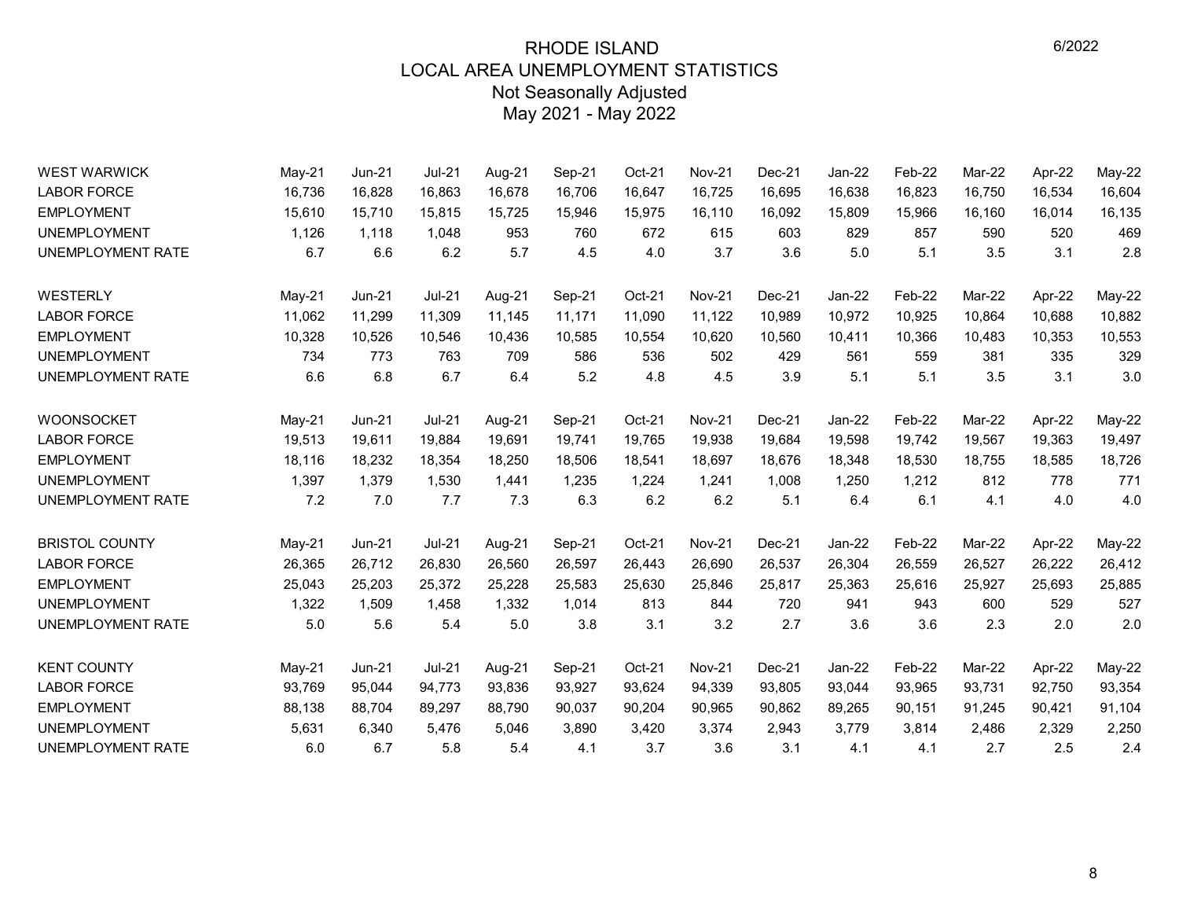| <b>WEST WARWICK</b>      | May-21   | Jun-21   | <b>Jul-21</b> | Aug-21 | Sep-21 | Oct-21 | Nov-21        | Dec-21   | Jan-22 | Feb-22 | Mar-22 | Apr-22 | May-22        |
|--------------------------|----------|----------|---------------|--------|--------|--------|---------------|----------|--------|--------|--------|--------|---------------|
| <b>LABOR FORCE</b>       | 16,736   | 16,828   | 16,863        | 16,678 | 16,706 | 16,647 | 16,725        | 16,695   | 16,638 | 16,823 | 16,750 | 16,534 | 16,604        |
| <b>EMPLOYMENT</b>        | 15,610   | 15,710   | 15,815        | 15,725 | 15,946 | 15,975 | 16,110        | 16,092   | 15,809 | 15,966 | 16,160 | 16,014 | 16,135        |
| <b>UNEMPLOYMENT</b>      | 1,126    | 1,118    | 1,048         | 953    | 760    | 672    | 615           | 603      | 829    | 857    | 590    | 520    | 469           |
| <b>UNEMPLOYMENT RATE</b> | 6.7      | 6.6      | 6.2           | 5.7    | 4.5    | 4.0    | 3.7           | 3.6      | 5.0    | 5.1    | 3.5    | 3.1    | 2.8           |
| WESTERLY                 | May-21   | Jun-21   | $Jul-21$      | Aug-21 | Sep-21 | Oct-21 | <b>Nov-21</b> | Dec-21   | Jan-22 | Feb-22 | Mar-22 | Apr-22 | <b>May-22</b> |
| <b>LABOR FORCE</b>       | 11.062   | 11,299   | 11,309        | 11,145 | 11,171 | 11,090 | 11,122        | 10.989   | 10,972 | 10,925 | 10.864 | 10,688 | 10,882        |
| <b>EMPLOYMENT</b>        | 10,328   | 10,526   | 10,546        | 10,436 | 10,585 | 10,554 | 10,620        | 10,560   | 10,411 | 10,366 | 10,483 | 10,353 | 10,553        |
| <b>UNEMPLOYMENT</b>      | 734      | 773      | 763           | 709    | 586    | 536    | 502           | 429      | 561    | 559    | 381    | 335    | 329           |
| <b>UNEMPLOYMENT RATE</b> | 6.6      | 6.8      | 6.7           | 6.4    | 5.2    | 4.8    | 4.5           | 3.9      | 5.1    | 5.1    | 3.5    | 3.1    | 3.0           |
| WOONSOCKET               | $May-21$ | $Jun-21$ | <b>Jul-21</b> | Aug-21 | Sep-21 | Oct-21 | <b>Nov-21</b> | Dec-21   | Jan-22 | Feb-22 | Mar-22 | Apr-22 | $May-22$      |
| <b>LABOR FORCE</b>       | 19,513   | 19,611   | 19,884        | 19,691 | 19,741 | 19,765 | 19,938        | 19,684   | 19,598 | 19,742 | 19,567 | 19,363 | 19,497        |
| <b>EMPLOYMENT</b>        | 18,116   | 18,232   | 18,354        | 18,250 | 18,506 | 18,541 | 18,697        | 18,676   | 18,348 | 18,530 | 18,755 | 18,585 | 18,726        |
| <b>UNEMPLOYMENT</b>      | 1,397    | 1,379    | 1,530         | 1,441  | 1,235  | 1,224  | 1,241         | 1,008    | 1,250  | 1,212  | 812    | 778    | 771           |
| UNEMPLOYMENT RATE        | 7.2      | 7.0      | 7.7           | 7.3    | 6.3    | 6.2    | 6.2           | 5.1      | 6.4    | 6.1    | 4.1    | 4.0    | 4.0           |
| <b>BRISTOL COUNTY</b>    | May-21   | Jun-21   | <b>Jul-21</b> | Aug-21 | Sep-21 | Oct-21 | <b>Nov-21</b> | $Dec-21$ | Jan-22 | Feb-22 | Mar-22 | Apr-22 | May-22        |
| <b>LABOR FORCE</b>       | 26,365   | 26,712   | 26,830        | 26,560 | 26,597 | 26,443 | 26,690        | 26,537   | 26,304 | 26,559 | 26,527 | 26,222 | 26,412        |
| <b>EMPLOYMENT</b>        | 25,043   | 25,203   | 25,372        | 25,228 | 25,583 | 25,630 | 25,846        | 25,817   | 25,363 | 25,616 | 25,927 | 25,693 | 25,885        |
| <b>UNEMPLOYMENT</b>      | 1,322    | 1,509    | 1,458         | 1,332  | 1,014  | 813    | 844           | 720      | 941    | 943    | 600    | 529    | 527           |
| UNEMPLOYMENT RATE        | 5.0      | 5.6      | 5.4           | 5.0    | 3.8    | 3.1    | 3.2           | 2.7      | 3.6    | 3.6    | 2.3    | 2.0    | 2.0           |
| <b>KENT COUNTY</b>       | $May-21$ | $Jun-21$ | <b>Jul-21</b> | Aug-21 | Sep-21 | Oct-21 | <b>Nov-21</b> | $Dec-21$ | Jan-22 | Feb-22 | Mar-22 | Apr-22 | May-22        |
| <b>LABOR FORCE</b>       | 93,769   | 95,044   | 94,773        | 93,836 | 93,927 | 93,624 | 94,339        | 93,805   | 93,044 | 93,965 | 93,731 | 92,750 | 93,354        |
| <b>EMPLOYMENT</b>        | 88,138   | 88,704   | 89,297        | 88,790 | 90,037 | 90,204 | 90,965        | 90,862   | 89,265 | 90,151 | 91,245 | 90,421 | 91,104        |
| <b>UNEMPLOYMENT</b>      | 5,631    | 6,340    | 5,476         | 5,046  | 3,890  | 3,420  | 3,374         | 2,943    | 3,779  | 3,814  | 2,486  | 2,329  | 2,250         |
| <b>UNEMPLOYMENT RATE</b> | 6.0      | 6.7      | 5.8           | 5.4    | 4.1    | 3.7    | 3.6           | 3.1      | 4.1    | 4.1    | 2.7    | 2.5    | 2.4           |